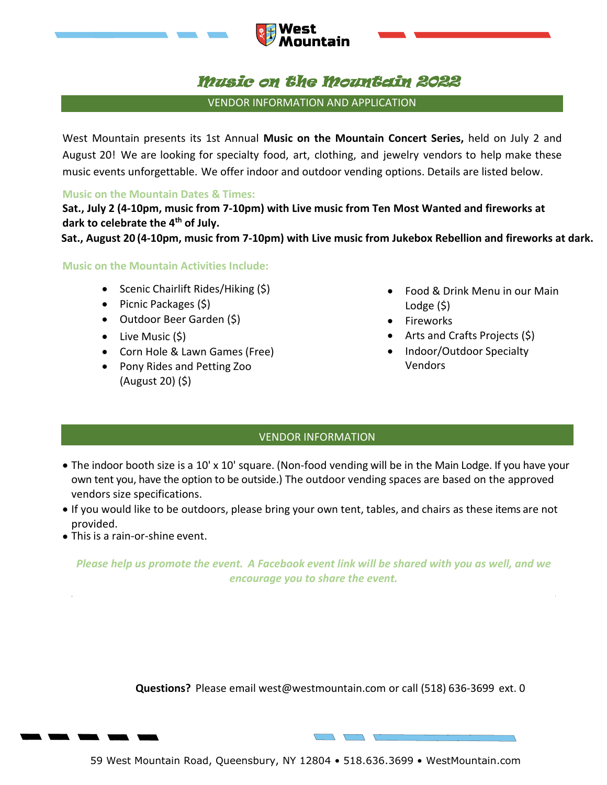

# Music on the Mountain 2022

untain

VENDOR INFORMATION AND APPLICATION

West Mountain presents its 1st Annual **Music on the Mountain Concert Series,** held on July 2 and August 20! We are looking for specialty food, art, clothing, and jewelry vendors to help make these music events unforgettable. We offer indoor and outdoor vending options. Details are listed below.

# **Music on the Mountain Dates & Times:**

**Sat., July 2 (4-10pm, music from 7-10pm) with Live music from Ten Most Wanted and fireworks at dark to celebrate the 4th of July.** 

**Sat., August 20 (4-10pm, music from 7-10pm) with Live music from Jukebox Rebellion and fireworks at dark.**

## **Music on the Mountain Activities Include:**

- Scenic Chairlift Rides/Hiking (\$)
- Picnic Packages (\$)
- Outdoor Beer Garden (\$)
- Live Music (\$)
- Corn Hole & Lawn Games (Free)
- Pony Rides and Petting Zoo (August 20) (\$)
- Food & Drink Menu in our Main Lodge (\$)
- Fireworks
- Arts and Crafts Projects (\$)
- Indoor/Outdoor Specialty Vendors

# VENDOR INFORMATION

- The indoor booth size is a 10' x 10' square. (Non-food vending will be in the Main Lodge. If you have your own tent you, have the option to be outside.) The outdoor vending spaces are based on the approved vendors size specifications.
- If you would like to be outdoors, please bring your own tent, tables, and chairs as these items are not provided.
- This is a rain-or-shine event.

*Please help us promote the event. A Facebook event link will be shared with you as well, and we encourage you to share the even*

**Questions?** Please email west@westmountain.com or call (518) 636-3699 ext. 0

 $\overline{\phantom{a}}$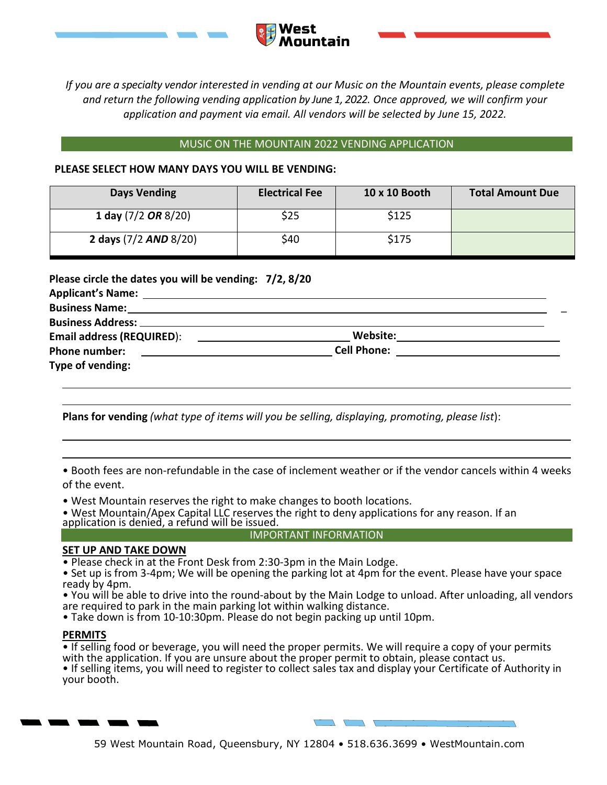

*If you are a specialty vendor interested in vending at our Music on the Mountain events, please complete and return the following vending application by June 1, 2022. Once approved, we will confirm your application and payment via email. All vendors will be selected by June 15, 2022.*

#### MUSIC ON THE MOUNTAIN 2022 VENDING APPLICATION

#### **PLEASE SELECT HOW MANY DAYS YOU WILL BE VENDING:**

| <b>Days Vending</b>     | <b>Electrical Fee</b> | 10 x 10 Booth | <b>Total Amount Due</b> |
|-------------------------|-----------------------|---------------|-------------------------|
| 1 day $(7/2$ OR $8/20)$ | \$25                  | \$125         |                         |
| 2 days (7/2 AND 8/20)   | \$40                  | \$175         |                         |

**Please circle the dates you will be vending: 7/2, 8/20**

| <b>Business Name:</b>            |          |  |  |
|----------------------------------|----------|--|--|
|                                  |          |  |  |
| <b>Email address (REQUIRED):</b> | Website: |  |  |
| <b>Phone number:</b>             |          |  |  |
| Type of vending:                 |          |  |  |

**Plans for vending** *(what type of items will you be selling, displaying, promoting, please list*):

• Booth fees are non-refundable in the case of inclement weather or if the vendor cancels within 4 weeks of the event.

• West Mountain reserves the right to make changes to booth locations.

• West Mountain/Apex Capital LLC reserves the right to deny applications for any reason. If an application is denied, a refund will be issued.

## IMPORTANT INFORMATION

### **SET UP AND TAKE DOWN**

• Please check in at the Front Desk from 2:30-3pm in the Main Lodge.

• Set up is from 3-4pm; We will be opening the parking lot at 4pm for the event. Please have your space ready by 4pm.

• You will be able to drive into the round-about by the Main Lodge to unload. After unloading, all vendors are required to park in the main parking lot within walking distance.

• Take down is from 10-10:30pm. Please do not begin packing up until 10pm.

## **PERMITS**

• If selling food or beverage, you will need the proper permits. We will require a copy of your permits with the application. If you are unsure about the proper permit to obtain, please contact us.

• If selling items, you will need to register to collect sales tax and display your Certificate of Authority in your booth.



59 West Mountain Road, Queensbury, NY 12804 • 518.636.3699 • WestMountain.com

 $\sqrt{2}$